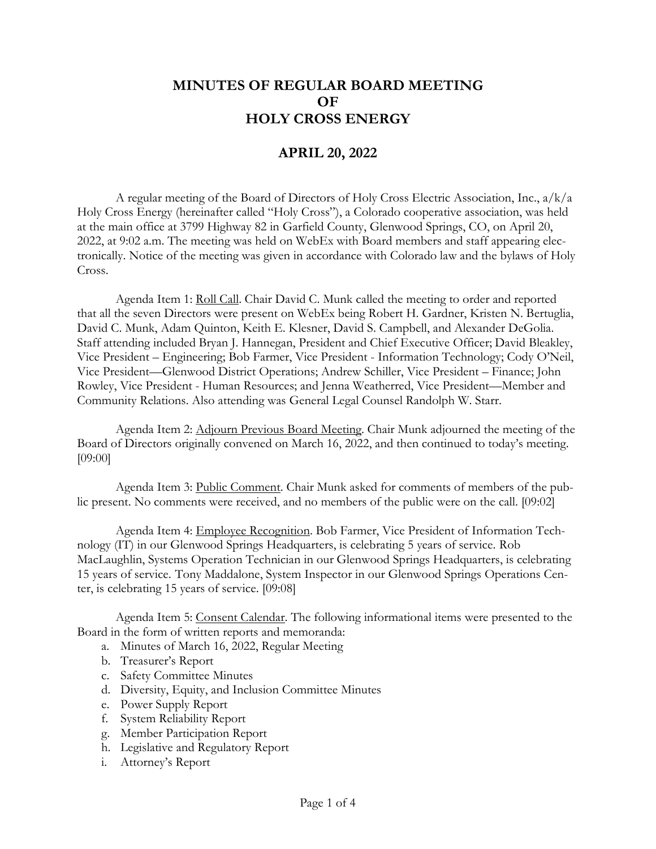## **MINUTES OF REGULAR BOARD MEETING OF HOLY CROSS ENERGY**

## **APRIL 20, 2022**

A regular meeting of the Board of Directors of Holy Cross Electric Association, Inc., a/k/a Holy Cross Energy (hereinafter called "Holy Cross"), a Colorado cooperative association, was held at the main office at 3799 Highway 82 in Garfield County, Glenwood Springs, CO, on April 20, 2022, at 9:02 a.m. The meeting was held on WebEx with Board members and staff appearing electronically. Notice of the meeting was given in accordance with Colorado law and the bylaws of Holy Cross.

Agenda Item 1: Roll Call. Chair David C. Munk called the meeting to order and reported that all the seven Directors were present on WebEx being Robert H. Gardner, Kristen N. Bertuglia, David C. Munk, Adam Quinton, Keith E. Klesner, David S. Campbell, and Alexander DeGolia. Staff attending included Bryan J. Hannegan, President and Chief Executive Officer; David Bleakley, Vice President – Engineering; Bob Farmer, Vice President - Information Technology; Cody O'Neil, Vice President—Glenwood District Operations; Andrew Schiller, Vice President – Finance; John Rowley, Vice President - Human Resources; and Jenna Weatherred, Vice President—Member and Community Relations. Also attending was General Legal Counsel Randolph W. Starr.

Agenda Item 2: Adjourn Previous Board Meeting. Chair Munk adjourned the meeting of the Board of Directors originally convened on March 16, 2022, and then continued to today's meeting. [09:00]

Agenda Item 3: Public Comment. Chair Munk asked for comments of members of the public present. No comments were received, and no members of the public were on the call. [09:02]

Agenda Item 4: Employee Recognition. Bob Farmer, Vice President of Information Technology (IT) in our Glenwood Springs Headquarters, is celebrating 5 years of service. Rob MacLaughlin, Systems Operation Technician in our Glenwood Springs Headquarters, is celebrating 15 years of service. Tony Maddalone, System Inspector in our Glenwood Springs Operations Center, is celebrating 15 years of service. [09:08]

Agenda Item 5: Consent Calendar. The following informational items were presented to the Board in the form of written reports and memoranda:

- a. Minutes of March 16, 2022, Regular Meeting
- b. Treasurer's Report
- c. Safety Committee Minutes
- d. Diversity, Equity, and Inclusion Committee Minutes
- e. Power Supply Report
- f. System Reliability Report
- g. Member Participation Report
- h. Legislative and Regulatory Report
- i. Attorney's Report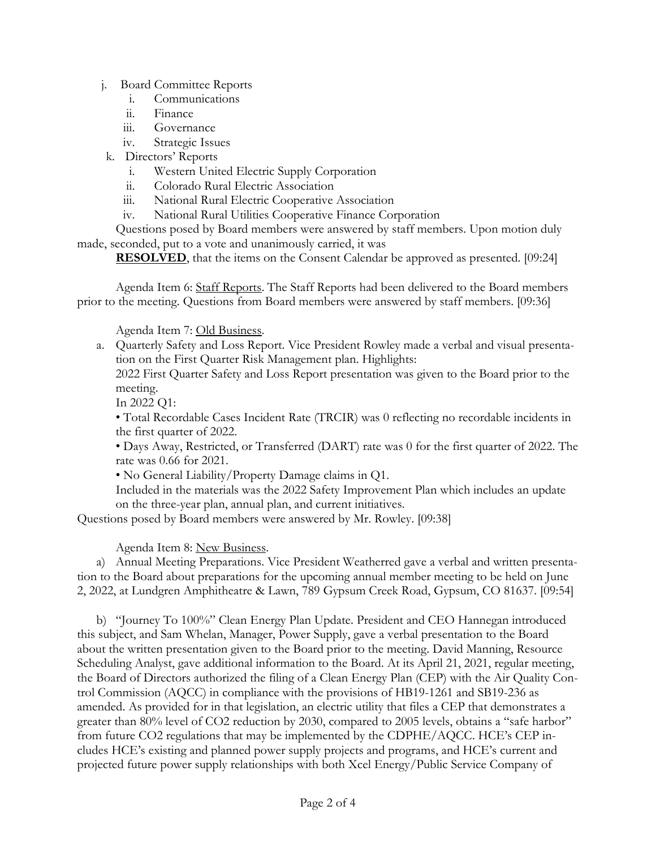- j. Board Committee Reports
	- i. Communications
	- ii. Finance
	- iii. Governance
	- iv. Strategic Issues
- k. Directors' Reports
	- i. Western United Electric Supply Corporation
	- ii. Colorado Rural Electric Association
	- iii. National Rural Electric Cooperative Association
	- iv. National Rural Utilities Cooperative Finance Corporation

Questions posed by Board members were answered by staff members. Upon motion duly made, seconded, put to a vote and unanimously carried, it was

**RESOLVED**, that the items on the Consent Calendar be approved as presented. [09:24]

Agenda Item 6: Staff Reports. The Staff Reports had been delivered to the Board members prior to the meeting. Questions from Board members were answered by staff members. [09:36]

Agenda Item 7: Old Business.

a. Quarterly Safety and Loss Report. Vice President Rowley made a verbal and visual presentation on the First Quarter Risk Management plan. Highlights:

2022 First Quarter Safety and Loss Report presentation was given to the Board prior to the meeting.

In 2022 Q1:

• Total Recordable Cases Incident Rate (TRCIR) was 0 reflecting no recordable incidents in the first quarter of 2022.

• Days Away, Restricted, or Transferred (DART) rate was 0 for the first quarter of 2022. The rate was 0.66 for 2021.

• No General Liability/Property Damage claims in Q1.

Included in the materials was the 2022 Safety Improvement Plan which includes an update on the three-year plan, annual plan, and current initiatives.

Questions posed by Board members were answered by Mr. Rowley. [09:38]

Agenda Item 8: New Business.

a) Annual Meeting Preparations. Vice President Weatherred gave a verbal and written presentation to the Board about preparations for the upcoming annual member meeting to be held on June 2, 2022, at Lundgren Amphitheatre & Lawn, 789 Gypsum Creek Road, Gypsum, CO 81637. [09:54]

b) "Journey To 100%" Clean Energy Plan Update. President and CEO Hannegan introduced this subject, and Sam Whelan, Manager, Power Supply, gave a verbal presentation to the Board about the written presentation given to the Board prior to the meeting. David Manning, Resource Scheduling Analyst, gave additional information to the Board. At its April 21, 2021, regular meeting, the Board of Directors authorized the filing of a Clean Energy Plan (CEP) with the Air Quality Control Commission (AQCC) in compliance with the provisions of HB19-1261 and SB19-236 as amended. As provided for in that legislation, an electric utility that files a CEP that demonstrates a greater than 80% level of CO2 reduction by 2030, compared to 2005 levels, obtains a "safe harbor" from future CO2 regulations that may be implemented by the CDPHE/AQCC. HCE's CEP includes HCE's existing and planned power supply projects and programs, and HCE's current and projected future power supply relationships with both Xcel Energy/Public Service Company of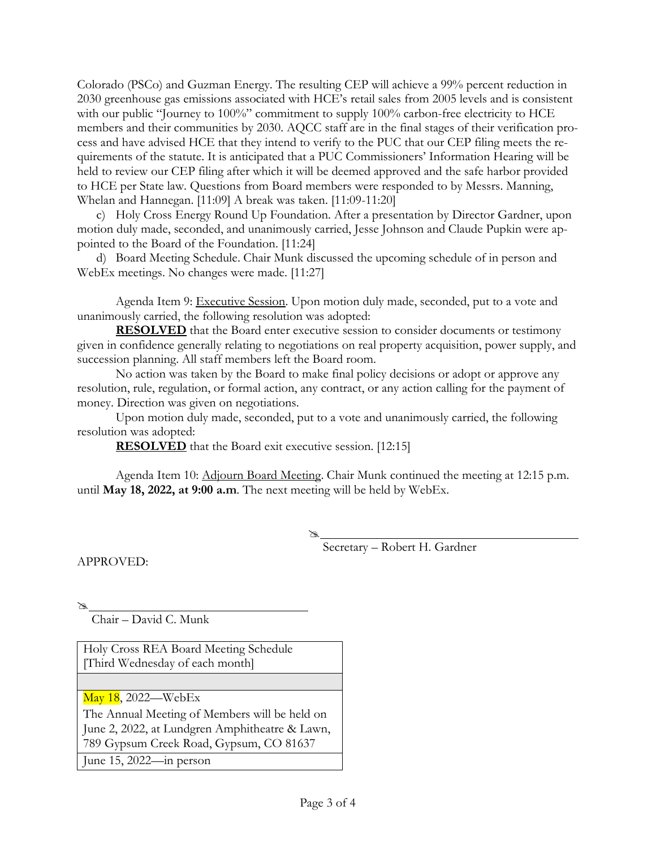Colorado (PSCo) and Guzman Energy. The resulting CEP will achieve a 99% percent reduction in 2030 greenhouse gas emissions associated with HCE's retail sales from 2005 levels and is consistent with our public "Journey to 100%" commitment to supply 100% carbon-free electricity to HCE members and their communities by 2030. AQCC staff are in the final stages of their verification process and have advised HCE that they intend to verify to the PUC that our CEP filing meets the requirements of the statute. It is anticipated that a PUC Commissioners' Information Hearing will be held to review our CEP filing after which it will be deemed approved and the safe harbor provided to HCE per State law. Questions from Board members were responded to by Messrs. Manning, Whelan and Hannegan. [11:09] A break was taken. [11:09-11:20]

c) Holy Cross Energy Round Up Foundation. After a presentation by Director Gardner, upon motion duly made, seconded, and unanimously carried, Jesse Johnson and Claude Pupkin were appointed to the Board of the Foundation. [11:24]

d) Board Meeting Schedule. Chair Munk discussed the upcoming schedule of in person and WebEx meetings. No changes were made. [11:27]

Agenda Item 9: Executive Session. Upon motion duly made, seconded, put to a vote and unanimously carried, the following resolution was adopted:

**RESOLVED** that the Board enter executive session to consider documents or testimony given in confidence generally relating to negotiations on real property acquisition, power supply, and succession planning. All staff members left the Board room.

No action was taken by the Board to make final policy decisions or adopt or approve any resolution, rule, regulation, or formal action, any contract, or any action calling for the payment of money. Direction was given on negotiations.

Upon motion duly made, seconded, put to a vote and unanimously carried, the following resolution was adopted:

**RESOLVED** that the Board exit executive session. [12:15]

Agenda Item 10: Adjourn Board Meeting. Chair Munk continued the meeting at 12:15 p.m. until **May 18, 2022, at 9:00 a.m**. The next meeting will be held by WebEx.

 Secretary – Robert H. Gardner

APPROVED:

 $\mathbb{Z}$ 

Chair – David C. Munk

Holy Cross REA Board Meeting Schedule [Third Wednesday of each month]

May 18, 2022—WebEx

The Annual Meeting of Members will be held on June 2, 2022, at Lundgren Amphitheatre & Lawn, 789 Gypsum Creek Road, Gypsum, CO 81637

June 15, 2022—in person